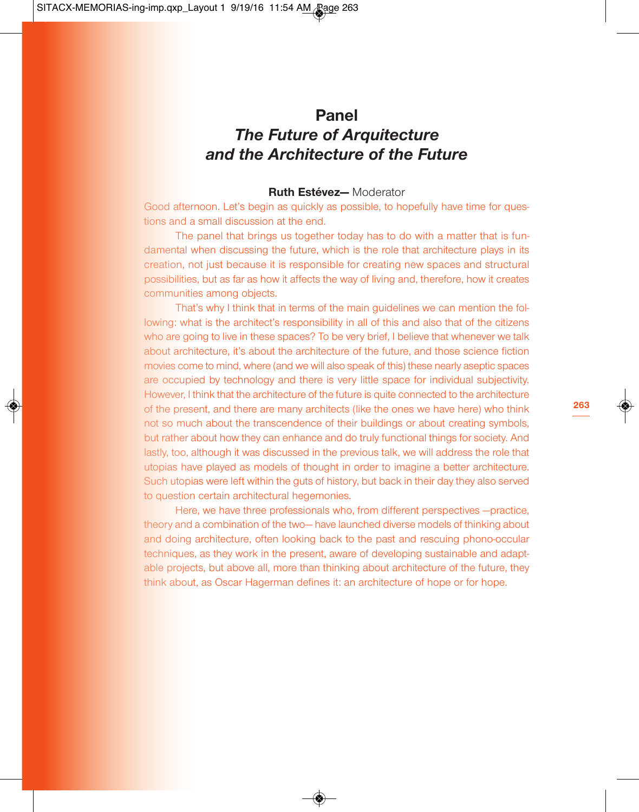# **Panel** *The Future of Arquitecture and the Architecture of the Future*

#### **Ruth Estévez—** Moderator

Good afternoon. Let's begin as quickly as possible, to hopefully have time for questions and a small discussion at the end.

The panel that brings us together today has to do with a matter that is fundamental when discussing the future, which is the role that architecture plays in its creation, not just because it is responsible for creating new spaces and structural possibilities, but as far as how it affects the way of living and, therefore, how it creates communities among objects.

That's why I think that in terms of the main guidelines we can mention the following: what is the architect's responsibility in all of this and also that of the citizens who are going to live in these spaces? To be very brief, I believe that whenever we talk about architecture, it's about the architecture of the future, and those science fiction movies come to mind, where (and we will also speak of this) these nearly aseptic spaces are occupied by technology and there is very little space for individual subjectivity. However, I think that the architecture of the future is quite connected to the architecture of the present, and there are many architects (like the ones we have here) who think not so much about the transcendence of their buildings or about creating symbols, but rather about how they can enhance and do truly functional things for society. And lastly, too, although it was discussed in the previous talk, we will address the role that utopias have played as models of thought in order to imagine a better architecture. Such utopias were left within the guts of history, but back in their day they also served to question certain architectural hegemonies.

Here, we have three professionals who, from different perspectives —practice, theory and a combination of the two— have launched diverse models of thinking about and doing architecture, often looking back to the past and rescuing phono-occular techniques, as they work in the present, aware of developing sustainable and adaptable projects, but above all, more than thinking about architecture of the future, they think about, as Oscar Hagerman defines it: an architecture of hope or for hope.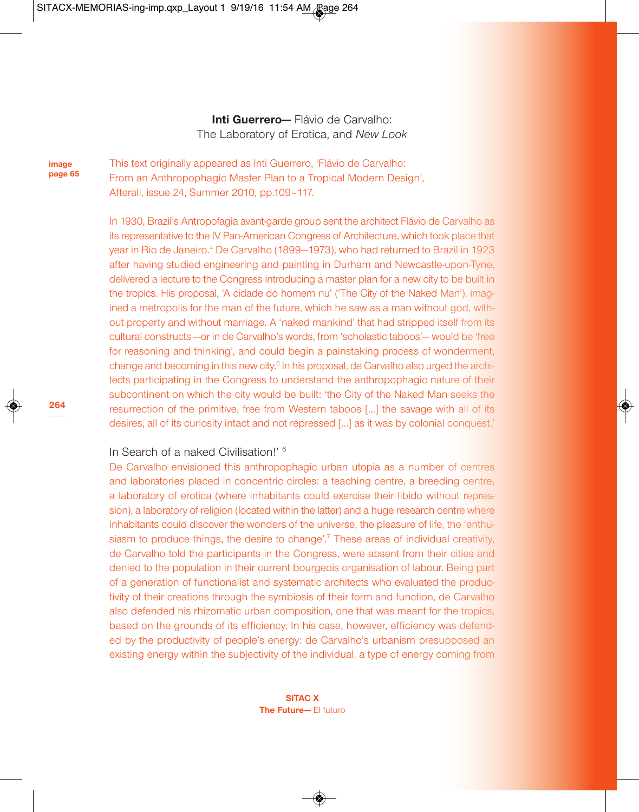## **Inti Guerrero—** Flávio de Carvalho: The Laboratory of Erotica, and *New Look*

**image page 65** This text originally appeared as Inti Guerrero, 'Flávio de Carvalho: From an Anthropophagic Master Plan to a Tropical Modern Design', Afterall, issue 24, Summer 2010, pp.109–117.

In 1930, Brazil's Antropofagia avant-garde group sent the architect Flávio de Carvalho as its representative to the IV Pan-American Congress of Architecture, which took place that year in Rio de Janeiro. <sup>4</sup> De Carvalho (1899—1973), who had returned to Brazil in 1923 after having studied engineering and painting in Durham and Newcastle-upon-Tyne, delivered a lecture to the Congress introducing a master plan for a new city to be built in the tropics. His proposal, 'A cidade do homem nu' ('The City of the Naked Man'), imagined a metropolis for the man of the future, which he saw as a man without god, without property and without marriage. A 'naked mankind' that had stripped itself from its cultural constructs —or in de Carvalho's words, from 'scholastic taboos'— would be 'free for reasoning and thinking', and could begin a painstaking process of wonderment, change and becoming in this new city.<sup>5</sup> In his proposal, de Carvalho also urged the architects participating in the Congress to understand the anthropophagic nature of their subcontinent on which the city would be built: 'the City of the Naked Man seeks the resurrection of the primitive, free from Western taboos […] the savage with all of its desires, all of its curiosity intact and not repressed […] as it was by colonial conquest.'

## In Search of a naked Civilisation!' <sup>6</sup>

De Carvalho envisioned this anthropophagic urban utopia as a number of centres and laboratories placed in concentric circles: a teaching centre, a breeding centre, a laboratory of erotica (where inhabitants could exercise their libido without repression), a laboratory of religion (located within the latter) and a huge research centre where inhabitants could discover the wonders of the universe, the pleasure of life, the 'enthusiasm to produce things, the desire to change'.<sup>7</sup> These areas of individual creativity. de Carvalho told the participants in the Congress, were absent from their cities and denied to the population in their current bourgeois organisation of labour. Being part of a generation of functionalist and systematic architects who evaluated the productivity of their creations through the symbiosis of their form and function, de Carvalho also defended his rhizomatic urban composition, one that was meant for the tropics, based on the grounds of its efficiency. In his case, however, efficiency was defended by the productivity of people's energy: de Carvalho's urbanism presupposed an existing energy within the subjectivity of the individual, a type of energy coming from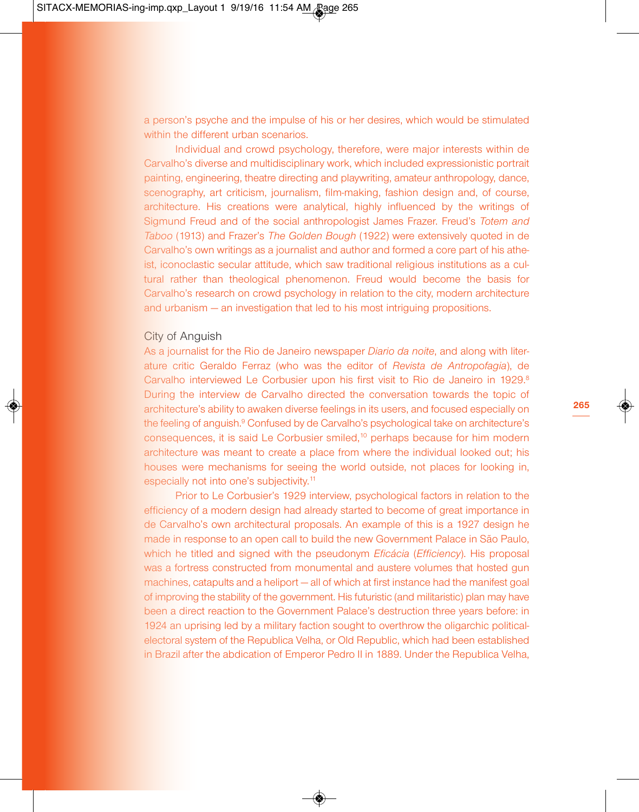a person's psyche and the impulse of his or her desires, which would be stimulated within the different urban scenarios.

Individual and crowd psychology, therefore, were major interests within de Carvalho's diverse and multidisciplinary work, which included expressionistic portrait painting, engineering, theatre directing and playwriting, amateur anthropology, dance, scenography, art criticism, journalism, film-making, fashion design and, of course, architecture. His creations were analytical, highly influenced by the writings of Sigmund Freud and of the social anthropologist James Frazer. Freud's *Totem and Taboo* (1913) and Frazer's *The Golden Bough* (1922) were extensively quoted in de Carvalho's own writings as a journalist and author and formed a core part of his atheist, iconoclastic secular attitude, which saw traditional religious institutions as a cultural rather than theological phenomenon. Freud would become the basis for Carvalho's research on crowd psychology in relation to the city, modern architecture and urbanism — an investigation that led to his most intriguing propositions.

#### City of Anguish

As a journalist for the Rio de Janeiro newspaper *Diario da noite*, and along with literature critic Geraldo Ferraz (who was the editor of *Revista de Antrop*o*fagia*), de Carvalho interviewed Le Corbusier upon his first visit to Rio de Janeiro in 1929.<sup>8</sup> During the interview de Carvalho directed the conversation towards the topic of architecture's ability to awaken diverse feelings in its users, and focused especially on the feeling of anguish. <sup>9</sup> Confused by de Carvalho's psychological take on architecture's consequences, it is said Le Corbusier smiled, <sup>10</sup> perhaps because for him modern architecture was meant to create a place from where the individual looked out; his houses were mechanisms for seeing the world outside, not places for looking in, especially not into one's subjectivity.<sup>11</sup>

Prior to Le Corbusier's 1929 interview, psychological factors in relation to the efficiency of a modern design had already started to become of great importance in de Carvalho's own architectural proposals. An example of this is a 1927 design he made in response to an open call to build the new Government Palace in São Paulo, which he titled and signed with the pseudonym *Eficácia* (*Efficiency*). His proposal was a fortress constructed from monumental and austere volumes that hosted gun machines, catapults and a heliport — all of which at first instance had the manifest goal of improving the stability of the government. His futuristic (and militaristic) plan may have been a direct reaction to the Government Palace's destruction three years before: in 1924 an uprising led by a military faction sought to overthrow the oligarchic politicalelectoral system of the Republica Velha, or Old Republic, which had been established in Brazil after the abdication of Emperor Pedro II in 1889. Under the Republica Velha,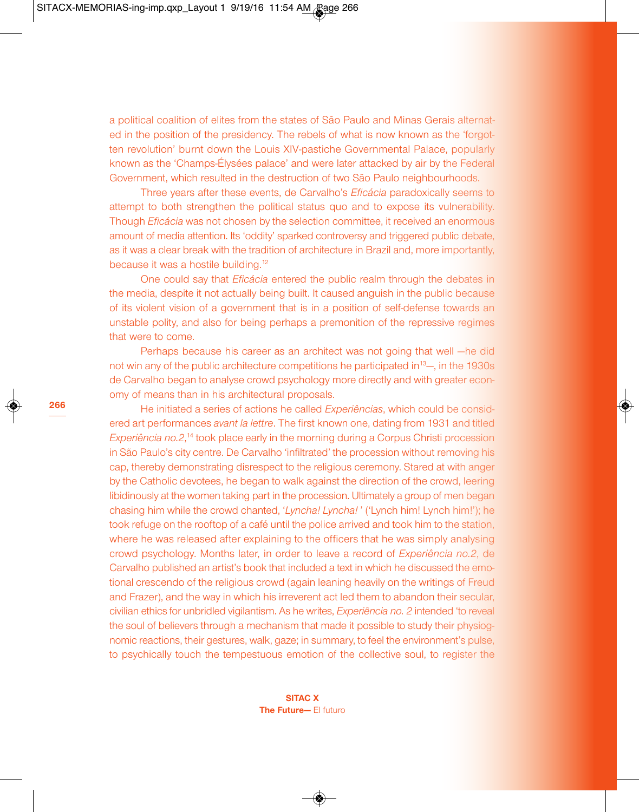a political coalition of elites from the states of São Paulo and Minas Gerais alternated in the position of the presidency. The rebels of what is now known as the 'forgotten revolution' burnt down the Louis XIV-pastiche Governmental Palace, popularly known as the 'Champs-Élysées palace' and were later attacked by air by the Federal Government, which resulted in the destruction of two São Paulo neighbourhoods.

Three years after these events, de Carvalho's *Eficácia* paradoxically seems to attempt to both strengthen the political status quo and to expose its vulnerability. Though *Eficácia* was not chosen by the selection committee, it received an enormous amount of media attention. Its 'oddity' sparked controversy and triggered public debate, as it was a clear break with the tradition of architecture in Brazil and, more importantly, because it was a hostile building.<sup>12</sup>

One could say that *Eficácia* entered the public realm through the debates in the media, despite it not actually being built. It caused anguish in the public because of its violent vision of a government that is in a position of self-defense towards an unstable polity, and also for being perhaps a premonition of the repressive regimes that were to come.

Perhaps because his career as an architect was not going that well —he did not win any of the public architecture competitions he participated in<sup>13</sup>—, in the 1930s de Carvalho began to analyse crowd psychology more directly and with greater economy of means than in his architectural proposals.

He initiated a series of actions he called *Experiências*, which could be considered art performances *avant la lettre*. The first known one, dating from 1931 and titled *Experiência no.2*, <sup>14</sup> took place early in the morning during a Corpus Christi procession in São Paulo's city centre. De Carvalho 'infiltrated' the procession without removing his cap, thereby demonstrating disrespect to the religious ceremony. Stared at with anger by the Catholic devotees, he began to walk against the direction of the crowd, leering libidinously at the women taking part in the procession. Ultimately a group of men began chasing him while the crowd chanted, '*Lyncha! Lyncha!* ' ('Lynch him! Lynch him!'); he took refuge on the rooftop of a café until the police arrived and took him to the station, where he was released after explaining to the officers that he was simply analysing crowd psychology. Months later, in order to leave a record of *Experiência no.2*, de Carvalho published an artist's book that included a text in which he discussed the emotional crescendo of the religious crowd (again leaning heavily on the writings of Freud and Frazer), and the way in which his irreverent act led them to abandon their secular, civilian ethics for unbridled vigilantism. As he writes, *Experiência no. 2* intended 'to reveal the soul of believers through a mechanism that made it possible to study their physiognomic reactions, their gestures, walk, gaze; in summary, to feel the environment's pulse, to psychically touch the tempestuous emotion of the collective soul, to register the

> **SITAC X The Future—** El futuro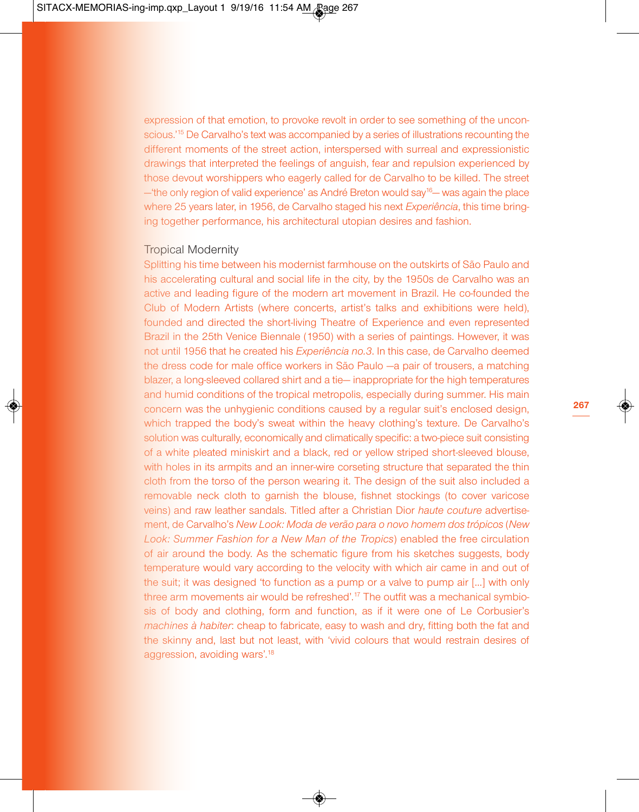expression of that emotion, to provoke revolt in order to see something of the unconscious.<sup>15</sup> De Carvalho's text was accompanied by a series of illustrations recounting the different moments of the street action, interspersed with surreal and expressionistic drawings that interpreted the feelings of anguish, fear and repulsion experienced by those devout worshippers who eagerly called for de Carvalho to be killed. The street <sup>-</sup>the only region of valid experience' as André Breton would say<sup>16</sup> – was again the place where 25 years later, in 1956, de Carvalho staged his next *Experiência*, this time bringing together performance, his architectural utopian desires and fashion.

### Tropical Modernity

Splitting his time between his modernist farmhouse on the outskirts of São Paulo and his accelerating cultural and social life in the city, by the 1950s de Carvalho was an active and leading figure of the modern art movement in Brazil. He co-founded the Club of Modern Artists (where concerts, artist's talks and exhibitions were held), founded and directed the short-living Theatre of Experience and even represented Brazil in the 25th Venice Biennale (1950) with a series of paintings. However, it was not until 1956 that he created his *Experiência no.3*. In this case, de Carvalho deemed the dress code for male office workers in São Paulo —a pair of trousers, a matching blazer, a long-sleeved collared shirt and a tie— inappropriate for the high temperatures and humid conditions of the tropical metropolis, especially during summer. His main concern was the unhygienic conditions caused by a regular suit's enclosed design, which trapped the body's sweat within the heavy clothing's texture. De Carvalho's solution was culturally, economically and climatically specific: a two-piece suit consisting of a white pleated miniskirt and a black, red or yellow striped short-sleeved blouse, with holes in its armpits and an inner-wire corseting structure that separated the thin cloth from the torso of the person wearing it. The design of the suit also included a removable neck cloth to garnish the blouse, fishnet stockings (to cover varicose veins) and raw leather sandals. Titled after a Christian Dior *haute couture* advertisement, de Carvalho's *New Look: Moda de verão para o novo homem dos trópicos* (*New Look: Summer Fashion for a New Man of the Tropics*) enabled the free circulation of air around the body. As the schematic figure from his sketches suggests, body temperature would vary according to the velocity with which air came in and out of the suit; it was designed 'to function as a pump or a valve to pump air […] with only three arm movements air would be refreshed'.<sup>17</sup> The outfit was a mechanical symbiosis of body and clothing, form and function, as if it were one of Le Corbusier's *machines à habiter*: cheap to fabricate, easy to wash and dry, fitting both the fat and the skinny and, last but not least, with 'vivid colours that would restrain desires of aggression, avoiding wars'.<sup>18</sup>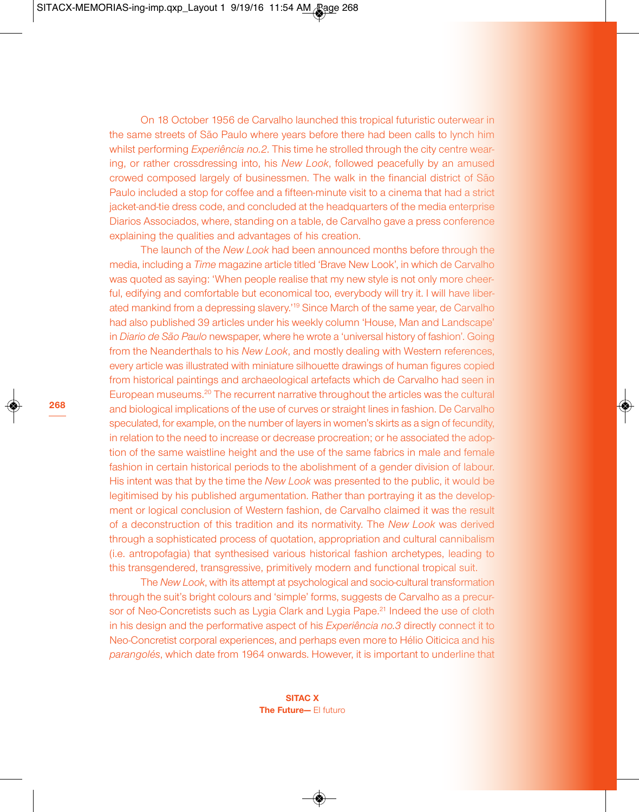On 18 October 1956 de Carvalho launched this tropical futuristic outerwear in the same streets of São Paulo where years before there had been calls to lynch him whilst performing *Experiência no.2*. This time he strolled through the city centre wearing, or rather crossdressing into, his *New Look*, followed peacefully by an amused crowed composed largely of businessmen. The walk in the financial district of São Paulo included a stop for coffee and a fifteen-minute visit to a cinema that had a strict jacket-and-tie dress code, and concluded at the headquarters of the media enterprise Diarios Associados, where, standing on a table, de Carvalho gave a press conference explaining the qualities and advantages of his creation.

The launch of the *New Look* had been announced months before through the media, including a *Time* magazine article titled 'Brave New Look', in which de Carvalho was quoted as saying: 'When people realise that my new style is not only more cheerful, edifying and comfortable but economical too, everybody will try it. I will have liberated mankind from a depressing slavery.' <sup>19</sup> Since March of the same year, de Carvalho had also published 39 articles under his weekly column 'House, Man and Landscape' in *Diario de São Paulo* newspaper, where he wrote a 'universal history of fashion'. Going from the Neanderthals to his *New Look*, and mostly dealing with Western references, every article was illustrated with miniature silhouette drawings of human figures copied from historical paintings and archaeological artefacts which de Carvalho had seen in European museums.<sup>20</sup> The recurrent narrative throughout the articles was the cultural and biological implications of the use of curves or straight lines in fashion. De Carvalho speculated, for example, on the number of layers in women's skirts as a sign of fecundity. in relation to the need to increase or decrease procreation; or he associated the adoption of the same waistline height and the use of the same fabrics in male and female fashion in certain historical periods to the abolishment of a gender division of labour. His intent was that by the time the *New Look* was presented to the public, it would be legitimised by his published argumentation. Rather than portraying it as the development or logical conclusion of Western fashion, de Carvalho claimed it was the result of a deconstruction of this tradition and its normativity. The *New Look* was derived through a sophisticated process of quotation, appropriation and cultural cannibalism (i.e. antropofagia) that synthesised various historical fashion archetypes, leading to this transgendered, transgressive, primitively modern and functional tropical suit.

The *New Look*, with its attempt at psychological and socio-cultural transformation through the suit's bright colours and 'simple' forms, suggests de Carvalho as a precursor of Neo-Concretists such as Lygia Clark and Lygia Pape.<sup>21</sup> Indeed the use of cloth in his design and the performative aspect of his *Experiência no.3* directly connect it to Neo-Concretist corporal experiences, and perhaps even more to Hélio Oiticica and his *parangolés*, which date from 1964 onwards. However, it is important to underline that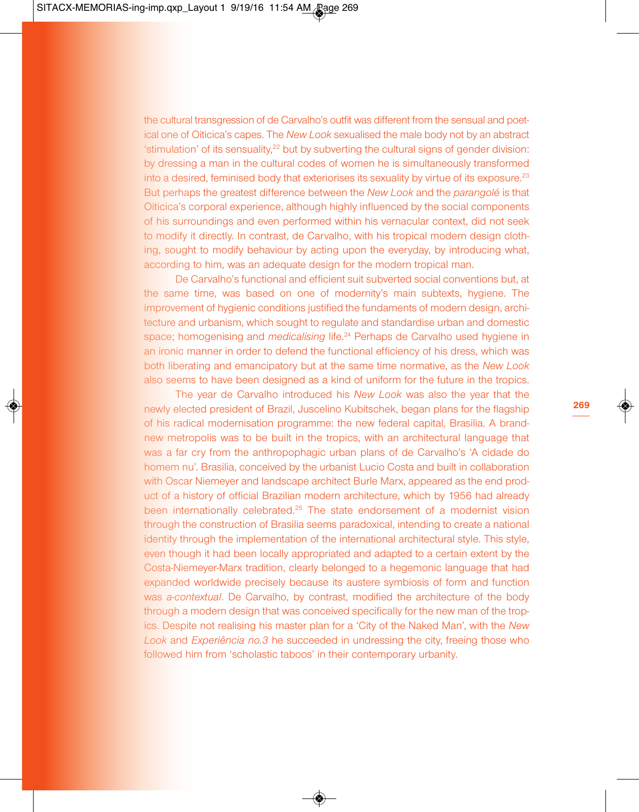the cultural transgression of de Carvalho's outfit was different from the sensual and poetical one of Oiticica's capes. The *New Look* sexualised the male body not by an abstract 'stimulation' of its sensuality,<sup>22</sup> but by subverting the cultural signs of gender division: by dressing a man in the cultural codes of women he is simultaneously transformed into a desired, feminised body that exteriorises its sexuality by virtue of its exposure.<sup>23</sup> But perhaps the greatest difference between the *New Look* and the *parangolé* is that Oiticica's corporal experience, although highly influenced by the social components of his surroundings and even performed within his vernacular context, did not seek to modify it directly. In contrast, de Carvalho, with his tropical modern design clothing, sought to modify behaviour by acting upon the everyday, by introducing what, according to him, was an adequate design for the modern tropical man.

De Carvalho's functional and efficient suit subverted social conventions but, at the same time, was based on one of modernity's main subtexts, hygiene. The improvement of hygienic conditions justified the fundaments of modern design, architecture and urbanism, which sought to regulate and standardise urban and domestic space; homogenising and *medicalising* life. <sup>24</sup> Perhaps de Carvalho used hygiene in an ironic manner in order to defend the functional efficiency of his dress, which was both liberating and emancipatory but at the same time normative, as the *New Look* also seems to have been designed as a kind of uniform for the future in the tropics.

The year de Carvalho introduced his *New Look* was also the year that the newly elected president of Brazil, Juscelino Kubitschek, began plans for the flagship of his radical modernisation programme: the new federal capital, Brasilia. A brandnew metropolis was to be built in the tropics, with an architectural language that was a far cry from the anthropophagic urban plans of de Carvalho's 'A cidade do homem nu'. Brasilia, conceived by the urbanist Lucio Costa and built in collaboration with Oscar Niemeyer and landscape architect Burle Marx, appeared as the end product of a history of official Brazilian modern architecture, which by 1956 had already been internationally celebrated. <sup>25</sup> The state endorsement of a modernist vision through the construction of Brasilia seems paradoxical, intending to create a national identity through the implementation of the international architectural style. This style, even though it had been locally appropriated and adapted to a certain extent by the Costa-Niemeyer-Marx tradition, clearly belonged to a hegemonic language that had expanded worldwide precisely because its austere symbiosis of form and function was *a-contextual*. De Carvalho, by contrast, modified the architecture of the body through a modern design that was conceived specifically for the new man of the tropics. Despite not realising his master plan for a 'City of the Naked Man', with the *New Look* and *Experiência no.3* he succeeded in undressing the city, freeing those who followed him from 'scholastic taboos' in their contemporary urbanity.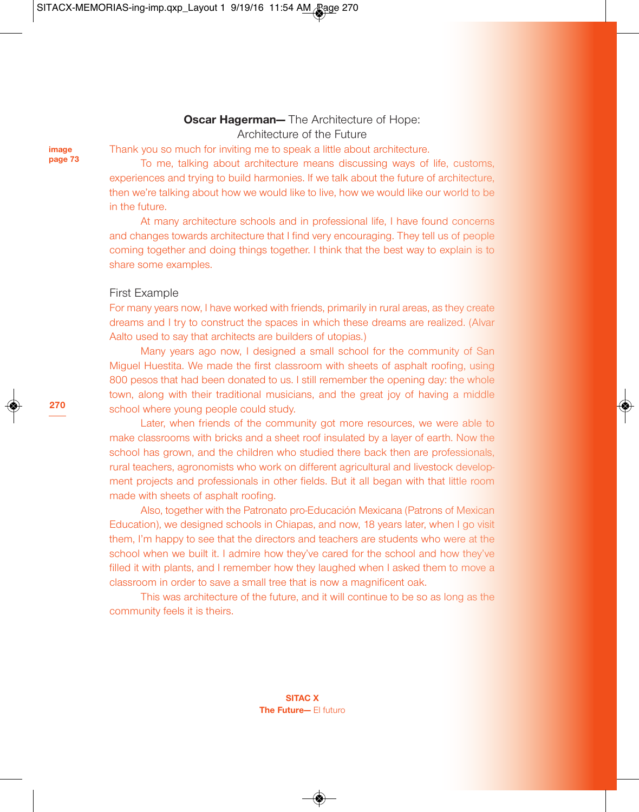## **Oscar Hagerman—** The Architecture of Hope: Architecture of the Future

**image page 73** Thank you so much for inviting me to speak a little about architecture.

To me, talking about architecture means discussing ways of life, customs, experiences and trying to build harmonies. If we talk about the future of architecture, then we're talking about how we would like to live, how we would like our world to be in the future.

At many architecture schools and in professional life, I have found concerns and changes towards architecture that I find very encouraging. They tell us of people coming together and doing things together. I think that the best way to explain is to share some examples.

## First Example

For many years now, I have worked with friends, primarily in rural areas, as they create dreams and I try to construct the spaces in which these dreams are realized. (Alvar Aalto used to say that architects are builders of utopias.)

Many years ago now, I designed a small school for the community of San Miguel Huestita. We made the first classroom with sheets of asphalt roofing, using 800 pesos that had been donated to us. I still remember the opening day: the whole town, along with their traditional musicians, and the great joy of having a middle school where young people could study.

Later, when friends of the community got more resources, we were able to make classrooms with bricks and a sheet roof insulated by a layer of earth. Now the school has grown, and the children who studied there back then are professionals, rural teachers, agronomists who work on different agricultural and livestock development projects and professionals in other fields. But it all began with that little room made with sheets of asphalt roofing.

Also, together with the Patronato pro-Educación Mexicana (Patrons of Mexican Education), we designed schools in Chiapas, and now, 18 years later, when I go visit them, I'm happy to see that the directors and teachers are students who were at the school when we built it. I admire how they've cared for the school and how they've filled it with plants, and I remember how they laughed when I asked them to move a classroom in order to save a small tree that is now a magnificent oak.

This was architecture of the future, and it will continue to be so as long as the community feels it is theirs.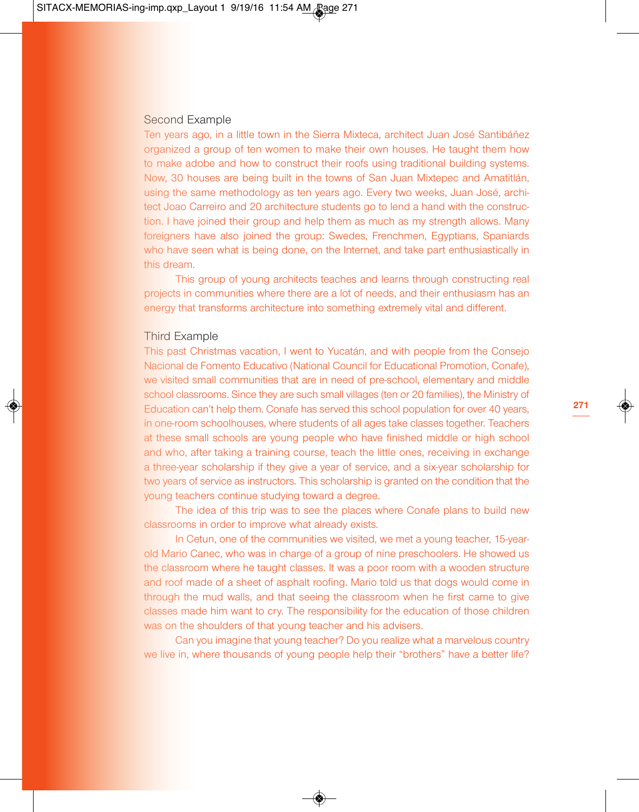#### Second Example

Ten years ago, in a little town in the Sierra Mixteca, architect Juan José Santibáñez organized a group of ten women to make their own houses. He taught them how to make adobe and how to construct their roofs using traditional building systems. Now, 30 houses are being built in the towns of San Juan Mixtepec and Amatitlán, using the same methodology as ten years ago. Every two weeks, Juan José, architect Joao Carreiro and 20 architecture students go to lend a hand with the construction. I have joined their group and help them as much as my strength allows. Many foreigners have also joined the group: Swedes, Frenchmen, Egyptians, Spaniards who have seen what is being done, on the Internet, and take part enthusiastically in this dream.

This group of young architects teaches and learns through constructing real projects in communities where there are a lot of needs, and their enthusiasm has an energy that transforms architecture into something extremely vital and different.

#### Third Example

This past Christmas vacation, I went to Yucatán, and with people from the Consejo Nacional de Fomento Educativo (National Council for Educational Promotion, Conafe), we visited small communities that are in need of pre-school, elementary and middle school classrooms. Since they are such small villages (ten or 20 families), the Ministry of Education can't help them. Conafe has served this school population for over 40 years, in one-room schoolhouses, where students of all ages take classes together. Teachers at these small schools are young people who have finished middle or high school and who, after taking a training course, teach the little ones, receiving in exchange a three-year scholarship if they give a year of service, and a six-year scholarship for two years of service as instructors. This scholarship is granted on the condition that the young teachers continue studying toward a degree.

The idea of this trip was to see the places where Conafe plans to build new classrooms in order to improve what already exists.

In Cetun, one of the communities we visited, we met a young teacher, 15-yearold Mario Canec, who was in charge of a group of nine preschoolers. He showed us the classroom where he taught classes. It was a poor room with a wooden structure and roof made of a sheet of asphalt roofing. Mario told us that dogs would come in through the mud walls, and that seeing the classroom when he first came to give classes made him want to cry. The responsibility for the education of those children was on the shoulders of that young teacher and his advisers.

Can you imagine that young teacher? Do you realize what a marvelous country we live in, where thousands of young people help their "brothers" have a better life?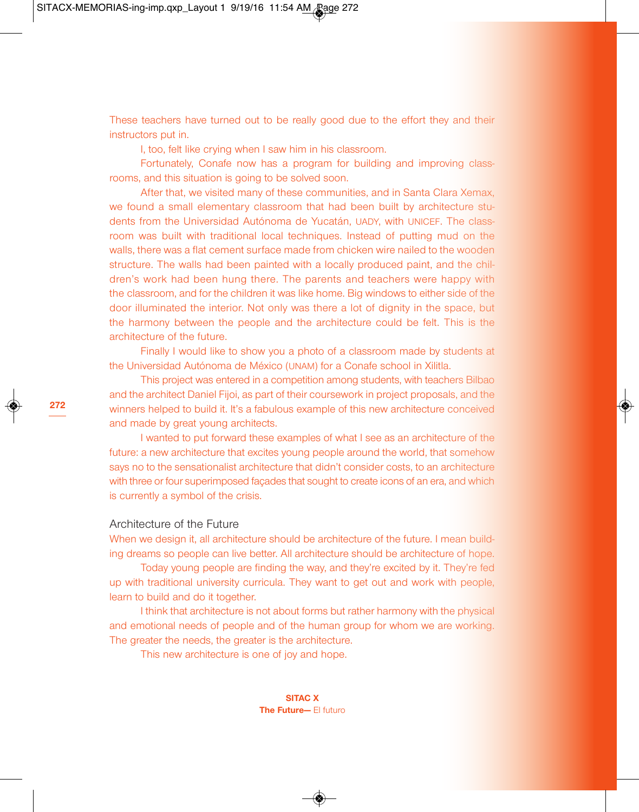These teachers have turned out to be really good due to the effort they and their instructors put in.

I, too, felt like crying when I saw him in his classroom.

Fortunately, Conafe now has a program for building and improving classrooms, and this situation is going to be solved soon.

After that, we visited many of these communities, and in Santa Clara Xemax, we found a small elementary classroom that had been built by architecture students from the Universidad Autónoma de Yucatán, UADY, with UNICEF. The classroom was built with traditional local techniques. Instead of putting mud on the walls, there was a flat cement surface made from chicken wire nailed to the wooden structure. The walls had been painted with a locally produced paint, and the children's work had been hung there. The parents and teachers were happy with the classroom, and for the children it was like home. Big windows to either side of the door illuminated the interior. Not only was there a lot of dignity in the space, but the harmony between the people and the architecture could be felt. This is the architecture of the future.

Finally I would like to show you a photo of a classroom made by students at the Universidad Autónoma de México (UNAM) for a Conafe school in Xilitla.

This project was entered in a competition among students, with teachers Bilbao and the architect Daniel Fijoi, as part of their coursework in project proposals, and the winners helped to build it. It's a fabulous example of this new architecture conceived and made by great young architects.

I wanted to put forward these examples of what I see as an architecture of the future: a new architecture that excites young people around the world, that somehow says no to the sensationalist architecture that didn't consider costs, to an architecture with three or four superimposed façades that sought to create icons of an era, and which is currently a symbol of the crisis.

#### Architecture of the Future

When we design it, all architecture should be architecture of the future. I mean building dreams so people can live better. All architecture should be architecture of hope.

Today young people are finding the way, and they're excited by it. They're fed up with traditional university curricula. They want to get out and work with people, learn to build and do it together.

I think that architecture is not about forms but rather harmony with the physical and emotional needs of people and of the human group for whom we are working. The greater the needs, the greater is the architecture.

This new architecture is one of joy and hope.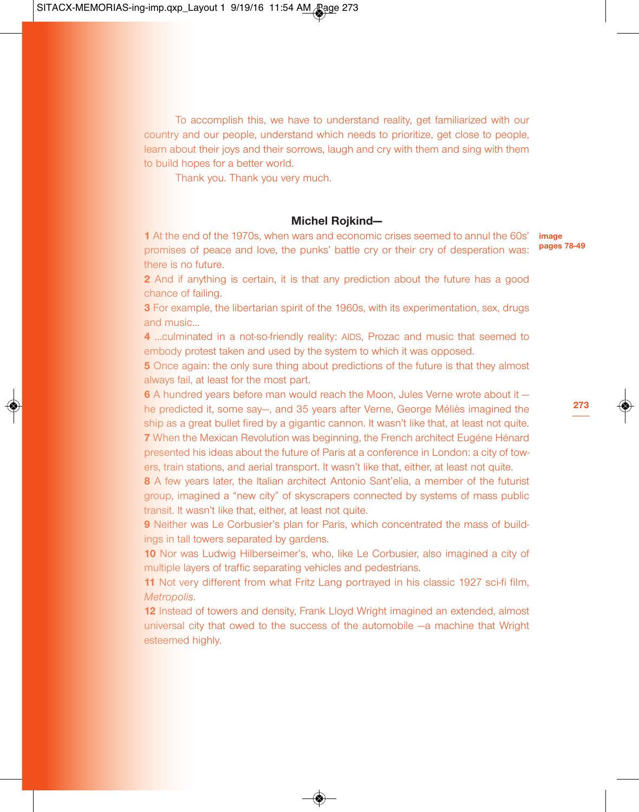To accomplish this, we have to understand reality, get familiarized with our country and our people, understand which needs to prioritize, get close to people, learn about their joys and their sorrows, laugh and cry with them and sing with them to build hopes for a better world.

Thank you. Thank you very much.

## **Michel Rojkind—**

**1** At the end of the 1970s, when wars and economic crises seemed to annul the 60s' promises of peace and love, the punks' battle cry or their cry of desperation was: there is no future.

**2** And if anything is certain, it is that any prediction about the future has a good chance of failing.

**3** For example, the libertarian spirit of the 1960s, with its experimentation, sex, drugs and music…

**4** …culminated in a not-so-friendly reality: AIDS, Prozac and music that seemed to embody protest taken and used by the system to which it was opposed.

**5** Once again: the only sure thing about predictions of the future is that they almost always fail, at least for the most part.

**6** A hundred years before man would reach the Moon, Jules Verne wrote about it he predicted it, some say—, and 35 years after Verne, George Méliès imagined the ship as a great bullet fired by a gigantic cannon. It wasn't like that, at least not quite. **7** When the Mexican Revolution was beginning, the French architect Eugéne Hénard presented his ideas about the future of Paris at a conference in London: a city of towers, train stations, and aerial transport. It wasn't like that, either, at least not quite.

**8** A few years later, the Italian architect Antonio Sant'elia, a member of the futurist group, imagined a "new city" of skyscrapers connected by systems of mass public transit. It wasn't like that, either, at least not quite.

**9** Neither was Le Corbusier's plan for Paris, which concentrated the mass of buildings in tall towers separated by gardens.

**10** Nor was Ludwig Hilberseimer's, who, like Le Corbusier, also imagined a city of multiple layers of traffic separating vehicles and pedestrians.

**11** Not very different from what Fritz Lang portrayed in his classic 1927 sci-fi film, *Metropolis*.

**12** Instead of towers and density, Frank Lloyd Wright imagined an extended, almost universal city that owed to the success of the automobile —a machine that Wright esteemed highly.

**image pages 78-49**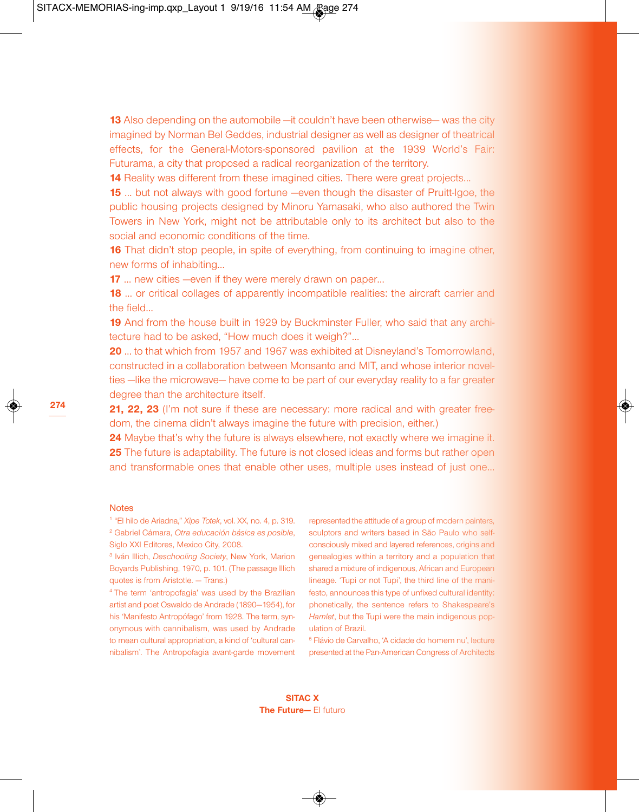**13** Also depending on the automobile —it couldn't have been otherwise— was the city imagined by Norman Bel Geddes, industrial designer as well as designer of theatrical effects, for the General-Motors-sponsored pavilion at the 1939 World's Fair: Futurama, a city that proposed a radical reorganization of the territory.

**14** Reality was different from these imagined cities. There were great projects...

**15** … but not always with good fortune —even though the disaster of Pruitt-Igoe, the public housing projects designed by Minoru Yamasaki, who also authored the Twin Towers in New York, might not be attributable only to its architect but also to the social and economic conditions of the time.

**16** That didn't stop people, in spite of everything, from continuing to imagine other, new forms of inhabiting…

**17** ... new cities —even if they were merely drawn on paper...

**18** ... or critical collages of apparently incompatible realities: the aircraft carrier and the field…

**19** And from the house built in 1929 by Buckminster Fuller, who said that any architecture had to be asked, "How much does it weigh?"…

**20** … to that which from 1957 and 1967 was exhibited at Disneyland's Tomorrowland, constructed in a collaboration between Monsanto and MIT, and whose interior novelties —like the microwave— have come to be part of our everyday reality to a far greater degree than the architecture itself.

**21, 22, 23** (I'm not sure if these are necessary: more radical and with greater freedom, the cinema didn't always imagine the future with precision, either.)

**24** Maybe that's why the future is always elsewhere, not exactly where we imagine it. **25** The future is adaptability. The future is not closed ideas and forms but rather open and transformable ones that enable other uses, multiple uses instead of just one…

#### **Notes**

<sup>1</sup> "El hilo de Ariadna," *Xipe Totek*, vol. XX, no. 4, p. 319. <sup>2</sup> Gabriel Cámara, *Otra educación básica es posible*, Siglo XXI Editores, Mexico City, 2008.

<sup>3</sup> Iván Illich, *Deschooling Society*, New York, Marion Boyards Publishing, 1970, p. 101. (The passage Illich quotes is from Aristotle. — Trans.)

<sup>4</sup> The term 'antropofagia' was used by the Brazilian artist and poet Oswaldo de Andrade (1890—1954), for his 'Manifesto Antropófago' from 1928. The term, synonymous with cannibalism, was used by Andrade to mean cultural appropriation, a kind of 'cultural cannibalism'. The Antropofagia avant-garde movement

represented the attitude of a group of modern painters, sculptors and writers based in São Paulo who selfconsciously mixed and layered references, origins and genealogies within a territory and a population that shared a mixture of indigenous, African and European lineage. 'Tupi or not Tupi', the third line of the manifesto, announces this type of unfixed cultural identity: phonetically, the sentence refers to Shakespeare's *Hamlet*, but the Tupi were the main indigenous population of Brazil.

<sup>5</sup> Flávio de Carvalho, 'A cidade do homem nu', lecture presented at the Pan-American Congress of Architects

**SITAC X The Future—** El futuro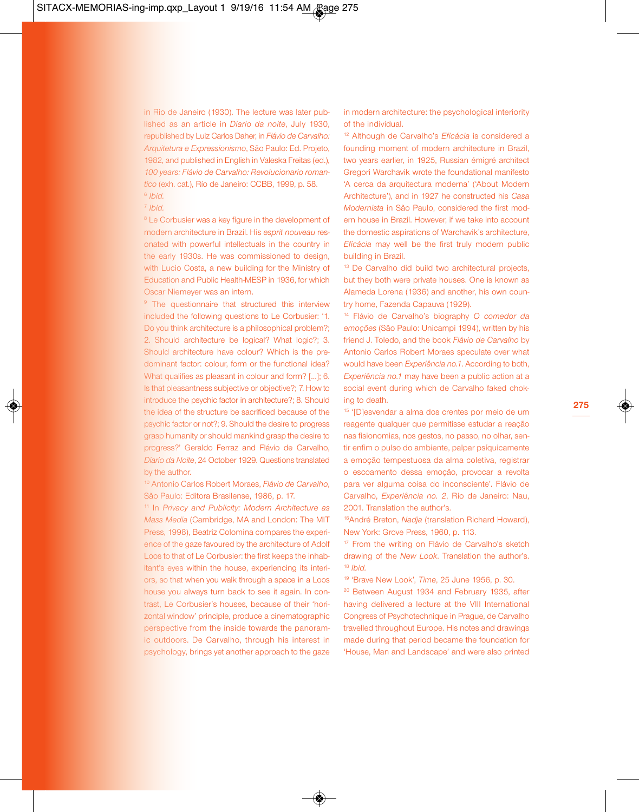in Rio de Janeiro (1930). The lecture was later published as an article in *Diario da noite*, July 1930, republished by Luiz Carlos Daher, in *Flávio de Carvalho: Arquitetura e Expressionismo*, São Paulo: Ed. Projeto, 1982, and published in English in Valeska Freitas (ed.), *100 years: Flávio de Carvalho: Revolucionario romantico* (exh. cat.), Río de Janeiro: CCBB, 1999, p. 58. <sup>6</sup> *Ibid.*

<sup>7</sup> *Ibid.*

<sup>8</sup> Le Corbusier was a key figure in the development of modern architecture in Brazil. His *esprit nouveau* resonated with powerful intellectuals in the country in the early 1930s. He was commissioned to design, with Lucio Costa, a new building for the Ministry of Education and Public Health-MESP in 1936, for which Oscar Niemeyer was an intern.

<sup>9</sup> The questionnaire that structured this interview included the following questions to Le Corbusier: '1. Do you think architecture is a philosophical problem?; 2. Should architecture be logical? What logic?; 3. Should architecture have colour? Which is the predominant factor: colour, form or the functional idea? What qualifies as pleasant in colour and form? […]; 6. Is that pleasantness subjective or objective?; 7. How to introduce the psychic factor in architecture?; 8. Should the idea of the structure be sacrificed because of the psychic factor or not?; 9. Should the desire to progress grasp humanity or should mankind grasp the desire to progress?' Geraldo Ferraz and Flávio de Carvalho, *Diario da Noite*, 24 October 1929. Questions translated by the author.

<sup>10</sup> Antonio Carlos Robert Moraes, *Flávio de Carvalho*, São Paulo: Editora Brasilense, 1986, p. 17.

<sup>11</sup> In *Privacy and Publicity: Modern Architecture as Mass Media* (Cambridge, MA and London: The MIT Press, 1998), Beatriz Colomina compares the experience of the gaze favoured by the architecture of Adolf Loos to that of Le Corbusier: the first keeps the inhabitant's eyes within the house, experiencing its interiors, so that when you walk through a space in a Loos house you always turn back to see it again. In contrast, Le Corbusier's houses, because of their 'horizontal window' principle, produce a cinematographic perspective from the inside towards the panoramic outdoors. De Carvalho, through his interest in psychology, brings yet another approach to the gaze

in modern architecture: the psychological interiority of the individual.

<sup>12</sup> Although de Carvalho's *Eficácia* is considered a founding moment of modern architecture in Brazil, two years earlier, in 1925, Russian émigré architect Gregori Warchavik wrote the foundational manifesto 'A cerca da arquitectura moderna' ('About Modern Architecture'), and in 1927 he constructed his *Casa Modernista* in São Paulo, considered the first modern house in Brazil. However, if we take into account the domestic aspirations of Warchavik's architecture, *Eficácia* may well be the first truly modern public building in Brazil.

<sup>13</sup> De Carvalho did build two architectural projects, but they both were private houses. One is known as Alameda Lorena (1936) and another, his own country home, Fazenda Capauva (1929).

<sup>14</sup> Flávio de Carvalho's biography *O comedor da emoções* (São Paulo: Unicampi 1994), written by his friend J. Toledo, and the book *Flávio de Carvalho* by Antonio Carlos Robert Moraes speculate over what would have been *Experiência no.1*. According to both, *Experiência no.1* may have been a public action at a social event during which de Carvalho faked choking to death.

<sup>15</sup> '[D]esvendar a alma dos crentes por meio de um reagente qualquer que permitisse estudar a reação nas fisionomias, nos gestos, no passo, no olhar, sentir enfim o pulso do ambiente, palpar psíquicamente a emoção tempestuosa da alma coletiva, registrar o escoamento dessa emoção, provocar a revolta para ver alguma coisa do inconsciente'. Flávio de Carvalho, *Experiência no. 2*, Rio de Janeiro: Nau, 2001. Translation the author's.

16 André Breton, *Nadja* (translation Richard Howard), New York: Grove Press, 1960, p. 113.

<sup>17</sup> From the writing on Flávio de Carvalho's sketch drawing of the *New Look*. Translation the author's. <sup>18</sup> *Ibid.*

<sup>19</sup> 'Brave New Look', *Time*, 25 June 1956, p. 30.

<sup>20</sup> Between August 1934 and February 1935, after having delivered a lecture at the VIII International Congress of Psychotechnique in Prague, de Carvalho travelled throughout Europe. His notes and drawings made during that period became the foundation for 'House, Man and Landscape' and were also printed